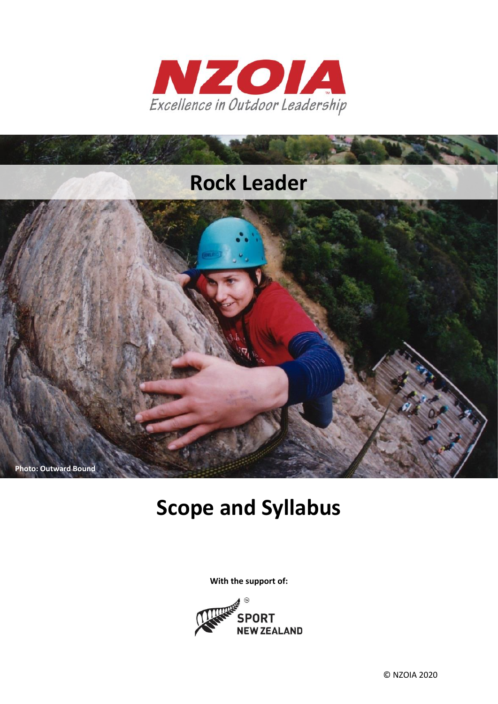



# **Scope and Syllabus**

**With the support of:**

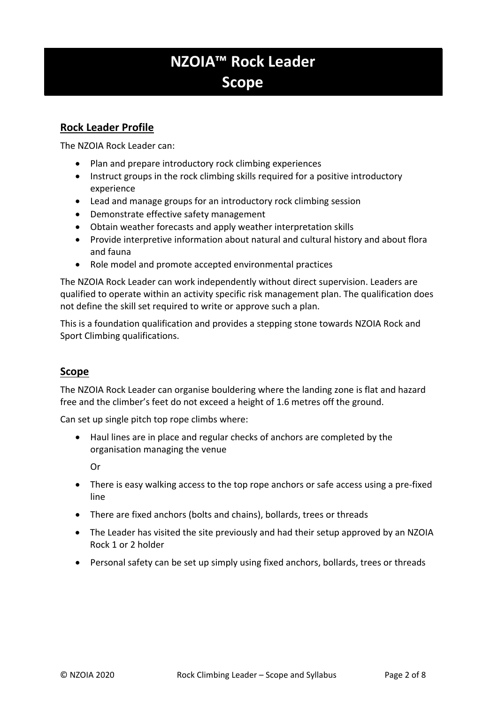# **NZOIA™ Rock Leader Scope**

# **Rock Leader Profile**

The NZOIA Rock Leader can:

- Plan and prepare introductory rock climbing experiences
- Instruct groups in the rock climbing skills required for a positive introductory experience
- Lead and manage groups for an introductory rock climbing session
- Demonstrate effective safety management
- Obtain weather forecasts and apply weather interpretation skills
- Provide interpretive information about natural and cultural history and about flora and fauna
- Role model and promote accepted environmental practices

The NZOIA Rock Leader can work independently without direct supervision. Leaders are qualified to operate within an activity specific risk management plan. The qualification does not define the skill set required to write or approve such a plan.

This is a foundation qualification and provides a stepping stone towards NZOIA Rock and Sport Climbing qualifications.

# **Scope**

The NZOIA Rock Leader can organise bouldering where the landing zone is flat and hazard free and the climber's feet do not exceed a height of 1.6 metres off the ground.

Can set up single pitch top rope climbs where:

• Haul lines are in place and regular checks of anchors are completed by the organisation managing the venue

Or

- There is easy walking access to the top rope anchors or safe access using a pre-fixed line
- There are fixed anchors (bolts and chains), bollards, trees or threads
- The Leader has visited the site previously and had their setup approved by an NZOIA Rock 1 or 2 holder
- Personal safety can be set up simply using fixed anchors, bollards, trees or threads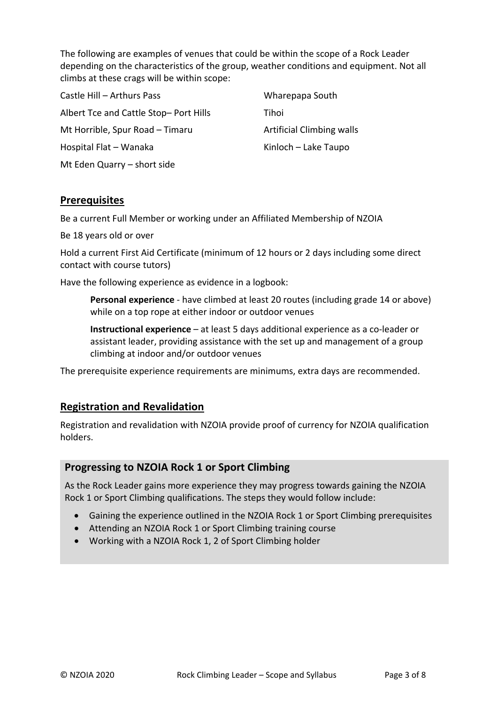The following are examples of venues that could be within the scope of a Rock Leader depending on the characteristics of the group, weather conditions and equipment. Not all climbs at these crags will be within scope:

| Castle Hill - Arthurs Pass            | Wharepapa South                  |
|---------------------------------------|----------------------------------|
| Albert Tce and Cattle Stop-Port Hills | Tihoi                            |
| Mt Horrible, Spur Road - Timaru       | <b>Artificial Climbing walls</b> |
| Hospital Flat - Wanaka                | Kinloch – Lake Taupo             |
| Mt Eden Quarry - short side           |                                  |

# **Prerequisites**

Be a current Full Member or working under an Affiliated Membership of NZOIA

Be 18 years old or over

Hold a current First Aid Certificate (minimum of 12 hours or 2 days including some direct contact with course tutors)

Have the following experience as evidence in a logbook:

**Personal experience** - have climbed at least 20 routes (including grade 14 or above) while on a top rope at either indoor or outdoor venues

**Instructional experience** – at least 5 days additional experience as a co-leader or assistant leader, providing assistance with the set up and management of a group climbing at indoor and/or outdoor venues

The prerequisite experience requirements are minimums, extra days are recommended.

# **Registration and Revalidation**

Registration and revalidation with NZOIA provide proof of currency for NZOIA qualification holders.

# **Progressing to NZOIA Rock 1 or Sport Climbing**

As the Rock Leader gains more experience they may progress towards gaining the NZOIA Rock 1 or Sport Climbing qualifications. The steps they would follow include:

- Gaining the experience outlined in the NZOIA Rock 1 or Sport Climbing prerequisites
- Attending an NZOIA Rock 1 or Sport Climbing training course
- Working with a NZOIA Rock 1, 2 of Sport Climbing holder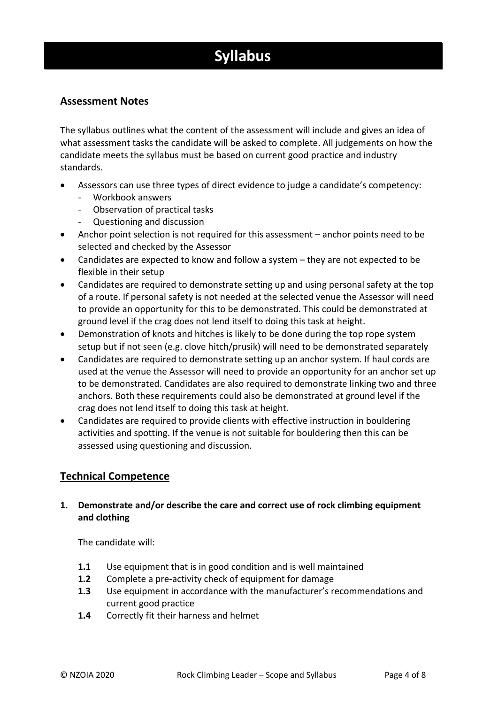# **Syllabus**

# **Assessment Notes**

The syllabus outlines what the content of the assessment will include and gives an idea of what assessment tasks the candidate will be asked to complete. All judgements on how the candidate meets the syllabus must be based on current good practice and industry standards.

- Assessors can use three types of direct evidence to judge a candidate's competency:
	- Workbook answers
	- Observation of practical tasks
	- Questioning and discussion
- Anchor point selection is not required for this assessment anchor points need to be selected and checked by the Assessor
- Candidates are expected to know and follow a system they are not expected to be flexible in their setup
- Candidates are required to demonstrate setting up and using personal safety at the top of a route. If personal safety is not needed at the selected venue the Assessor will need to provide an opportunity for this to be demonstrated. This could be demonstrated at ground level if the crag does not lend itself to doing this task at height.
- Demonstration of knots and hitches is likely to be done during the top rope system setup but if not seen (e.g. clove hitch/prusik) will need to be demonstrated separately
- Candidates are required to demonstrate setting up an anchor system. If haul cords are used at the venue the Assessor will need to provide an opportunity for an anchor set up to be demonstrated. Candidates are also required to demonstrate linking two and three anchors. Both these requirements could also be demonstrated at ground level if the crag does not lend itself to doing this task at height.
- Candidates are required to provide clients with effective instruction in bouldering activities and spotting. If the venue is not suitable for bouldering then this can be assessed using questioning and discussion.

# **Technical Competence**

# **1. Demonstrate and/or describe the care and correct use of rock climbing equipment and clothing**

The candidate will:

- **1.1** Use equipment that is in good condition and is well maintained
- **1.2** Complete a pre-activity check of equipment for damage
- **1.3** Use equipment in accordance with the manufacturer's recommendations and current good practice
- **1.4** Correctly fit their harness and helmet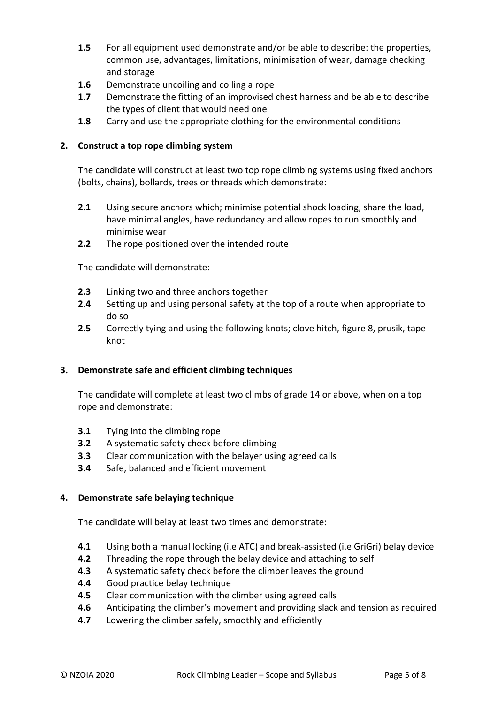- **1.5** For all equipment used demonstrate and/or be able to describe: the properties, common use, advantages, limitations, minimisation of wear, damage checking and storage
- **1.6** Demonstrate uncoiling and coiling a rope
- **1.7** Demonstrate the fitting of an improvised chest harness and be able to describe the types of client that would need one
- **1.8** Carry and use the appropriate clothing for the environmental conditions

# **2. Construct a top rope climbing system**

The candidate will construct at least two top rope climbing systems using fixed anchors (bolts, chains), bollards, trees or threads which demonstrate:

- **2.1** Using secure anchors which; minimise potential shock loading, share the load, have minimal angles, have redundancy and allow ropes to run smoothly and minimise wear
- **2.2** The rope positioned over the intended route

The candidate will demonstrate:

- **2.3** Linking two and three anchors together
- **2.4** Setting up and using personal safety at the top of a route when appropriate to do so
- **2.5** Correctly tying and using the following knots; clove hitch, figure 8, prusik, tape knot

#### **3. Demonstrate safe and efficient climbing techniques**

The candidate will complete at least two climbs of grade 14 or above, when on a top rope and demonstrate:

- **3.1** Tying into the climbing rope
- **3.2** A systematic safety check before climbing
- **3.3** Clear communication with the belayer using agreed calls
- **3.4** Safe, balanced and efficient movement

#### **4. Demonstrate safe belaying technique**

The candidate will belay at least two times and demonstrate:

- **4.1** Using both a manual locking (i.e ATC) and break-assisted (i.e GriGri) belay device
- **4.2** Threading the rope through the belay device and attaching to self
- **4.3** A systematic safety check before the climber leaves the ground
- **4.4** Good practice belay technique
- **4.5** Clear communication with the climber using agreed calls
- **4.6** Anticipating the climber's movement and providing slack and tension as required
- **4.7** Lowering the climber safely, smoothly and efficiently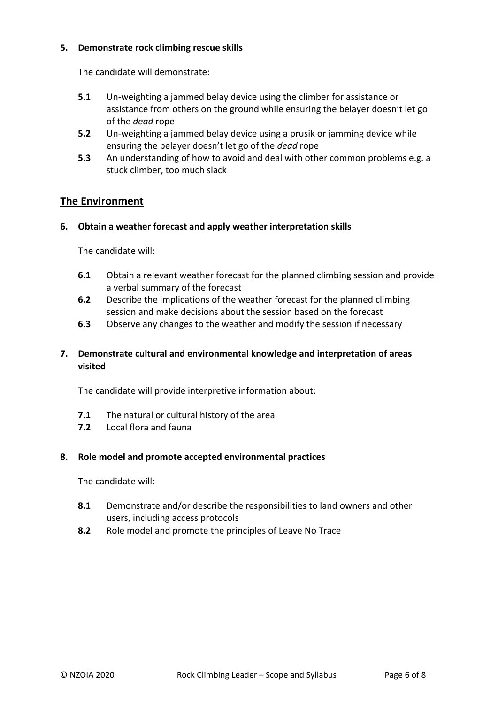#### **5. Demonstrate rock climbing rescue skills**

The candidate will demonstrate:

- **5.1** Un-weighting a jammed belay device using the climber for assistance or assistance from others on the ground while ensuring the belayer doesn't let go of the *dead* rope
- **5.2** Un-weighting a jammed belay device using a prusik or jamming device while ensuring the belayer doesn't let go of the *dead* rope
- **5.3** An understanding of how to avoid and deal with other common problems e.g. a stuck climber, too much slack

# **The Environment**

#### **6. Obtain a weather forecast and apply weather interpretation skills**

The candidate will:

- **6.1** Obtain a relevant weather forecast for the planned climbing session and provide a verbal summary of the forecast
- **6.2** Describe the implications of the weather forecast for the planned climbing session and make decisions about the session based on the forecast
- **6.3** Observe any changes to the weather and modify the session if necessary

# **7. Demonstrate cultural and environmental knowledge and interpretation of areas visited**

The candidate will provide interpretive information about:

- **7.1** The natural or cultural history of the area
- **7.2** Local flora and fauna

#### **8. Role model and promote accepted environmental practices**

The candidate will:

- **8.1** Demonstrate and/or describe the responsibilities to land owners and other users, including access protocols
- **8.2** Role model and promote the principles of Leave No Trace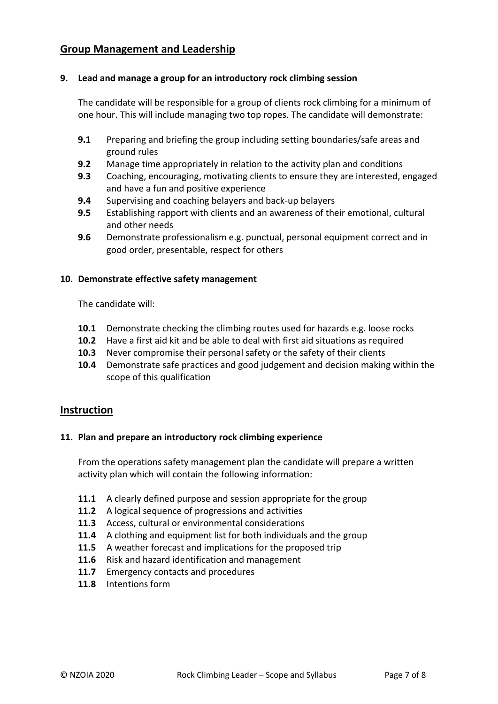# **Group Management and Leadership**

#### **9. Lead and manage a group for an introductory rock climbing session**

The candidate will be responsible for a group of clients rock climbing for a minimum of one hour. This will include managing two top ropes. The candidate will demonstrate:

- **9.1** Preparing and briefing the group including setting boundaries/safe areas and ground rules
- **9.2** Manage time appropriately in relation to the activity plan and conditions
- **9.3** Coaching, encouraging, motivating clients to ensure they are interested, engaged and have a fun and positive experience
- **9.4** Supervising and coaching belayers and back-up belayers
- **9.5** Establishing rapport with clients and an awareness of their emotional, cultural and other needs
- **9.6** Demonstrate professionalism e.g. punctual, personal equipment correct and in good order, presentable, respect for others

#### **10. Demonstrate effective safety management**

The candidate will:

- **10.1** Demonstrate checking the climbing routes used for hazards e.g. loose rocks
- **10.2** Have a first aid kit and be able to deal with first aid situations as required
- **10.3** Never compromise their personal safety or the safety of their clients
- **10.4** Demonstrate safe practices and good judgement and decision making within the scope of this qualification

#### **Instruction**

#### **11. Plan and prepare an introductory rock climbing experience**

From the operations safety management plan the candidate will prepare a written activity plan which will contain the following information:

- **11.1** A clearly defined purpose and session appropriate for the group
- **11.2** A logical sequence of progressions and activities
- **11.3** Access, cultural or environmental considerations
- **11.4** A clothing and equipment list for both individuals and the group
- **11.5** A weather forecast and implications for the proposed trip
- **11.6** Risk and hazard identification and management
- **11.7** Emergency contacts and procedures
- **11.8** Intentions form